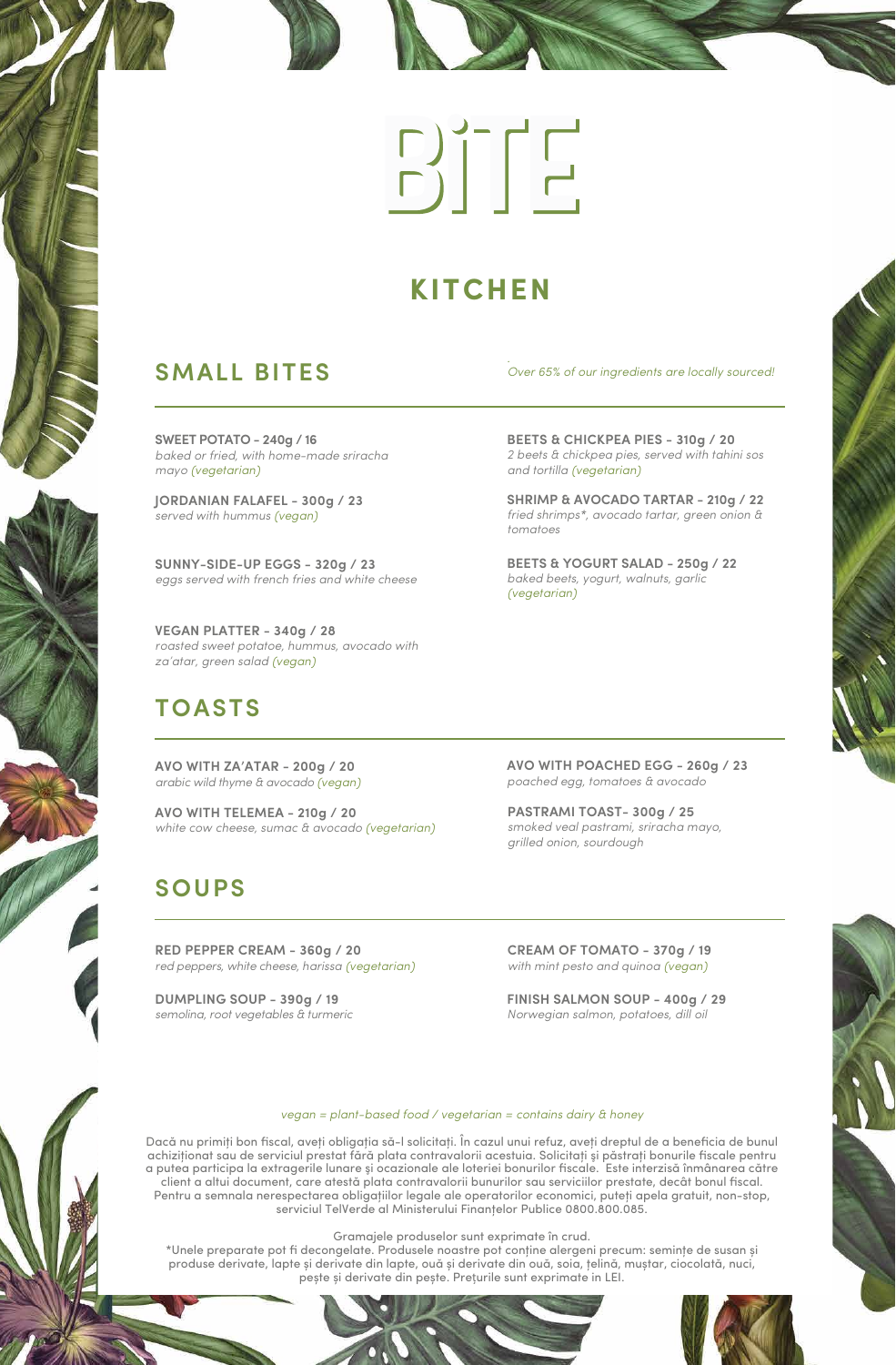# $\begin{array}{c} \hline \text{C} \\ \text{D} \end{array} \begin{bmatrix} -1 \\ -1 \end{bmatrix}$

### **KITCHEN**

### **SMALL BITES**

**SWEET POTATO - 240g / 16** *baked or fried, with home-made sriracha mayo (vegetarian)*

**JORDANIAN FALAFEL - 300g / 23** *served with hummus (vegan)*

**SUNNY-SIDE-UP EGGS - 320g / 23** *eggs served with french fries and white cheese*

**VEGAN PLATTER - 340g / 28** *roasted sweet potatoe, hummus, avocado with za'atar, green salad (vegan)*

### **TOASTS**

**AVO WITH ZA'ATAR - 200g / 20** *arabic wild thyme & avocado (vegan)*

**AVO WITH TELEMEA - 210g / 20** *white cow cheese, sumac & avocado (vegetarian)*

### **SOUPS**

**RED PEPPER CREAM - 360g / 20** *red peppers, white cheese, harissa (vegetarian)*

**DUMPLING SOUP - 390g / 19** *semolina, root vegetables & turmeric*

*. Over 65% of our ingredients are locally sourced!*

**BEETS & CHICKPEA PIES - 310g / 20** *2 beets & chickpea pies, served with tahini sos and tortilla (vegetarian)*

**SHRIMP & AVOCADO TARTAR - 210g / 22** *fried shrimps\*, avocado tartar, green onion & tomatoes*

**BEETS & YOGURT SALAD - 250g / 22** *baked beets, yogurt, walnuts, garlic (vegetarian)*

**AVO WITH POACHED EGG - 260g / 23** *poached egg, tomatoes & avocado*

**PASTRAMI TOAST- 300g / 25** *smoked veal pastrami, sriracha mayo, grilled onion, sourdough*

**CREAM OF TOMATO - 370g / 19** *with mint pesto and quinoa (vegan)*

**FINISH SALMON SOUP - 400g / 29** *Norwegian salmon, potatoes, dill oil*

### *vegan = plant-based food / vegetarian = contains dairy & honey*

Dacă nu primiţi bon fiscal, aveţi obligaţia să-l solicitaţi. În cazul unui refuz, aveţi dreptul de a beneficia de bunul achiziționat sau de serviciul prestat fără plata contravalorii acestuia. Solicitați și păstrați bonurile fiscale pentru a putea participa la extragerile lunare şi ocazionale ale loteriei bonurilor fiscale. Este interzisă înmânarea către client a altui document, care atestă plata contravalorii bunurilor sau serviciilor prestate, decât bonul fiscal. Pentru a semnala nerespectarea obligațiilor legale ale operatorilor economici, puteți apela gratuit, non-stop, serviciul TelVerde al Ministerului Finanțelor Publice 0800.800.085.

Gramajele produselor sunt exprimate în crud.

\*Unele preparate pot fi decongelate. Produsele noastre pot conţine alergeni precum: seminţe de susan și produse derivate, lapte și derivate din lapte, ouă și derivate din ouă, soia, ţelină, muștar, ciocolată, nuci, pește și derivate din pește. Prețurile sunt exprimate in LEI.



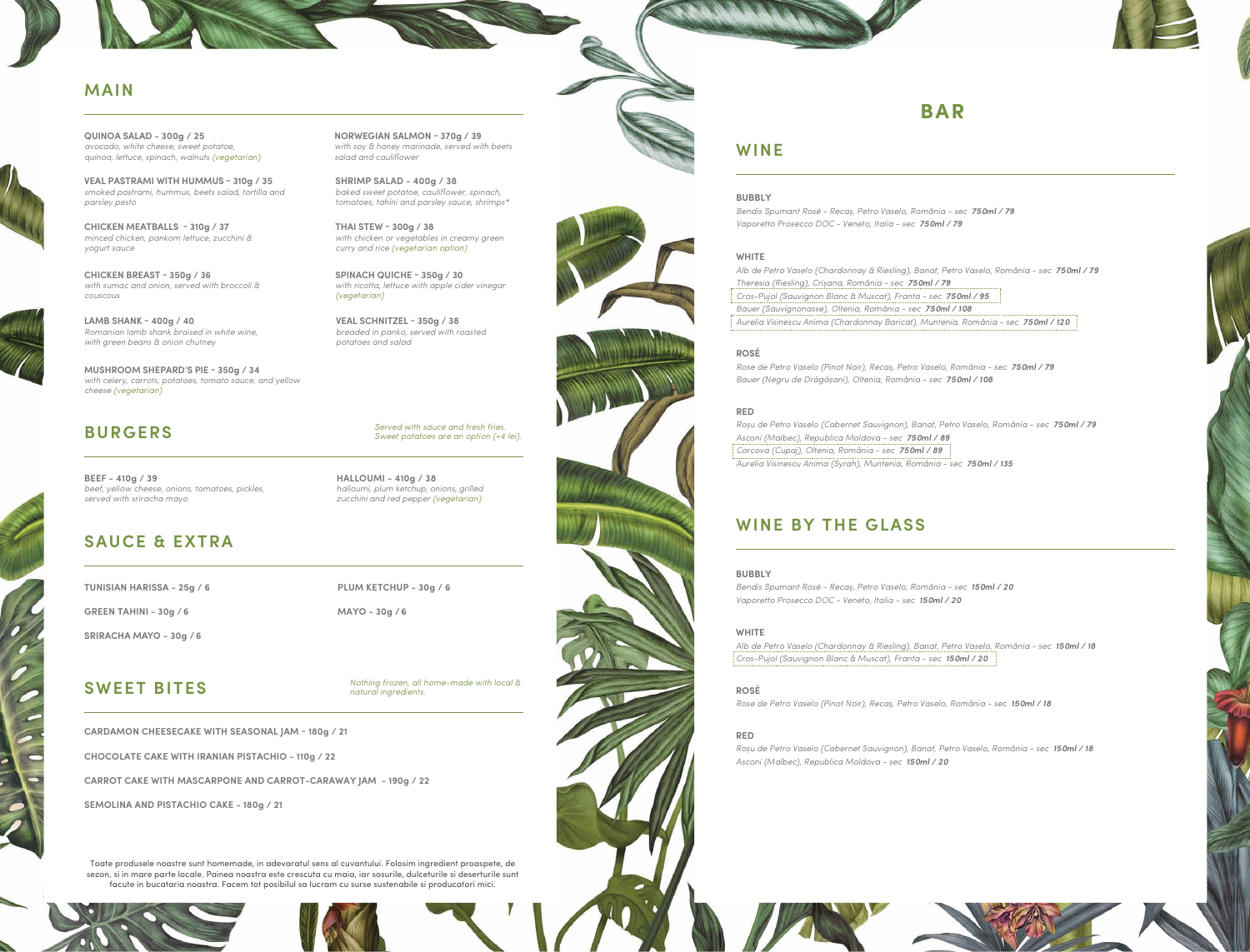### **MAIN**



**SWEET BITES**

### **SAUCE & EXTRA**

**GREEN TAHINI - 30g / 6**

**SRIRACHA MAYO - 30g / 6**

**PLUM KETCHUP - 30g / 6** 

**MAYO - 30g / 6**

### **WINE**

**BAR**

Toate produsele noastre sunt homemade, in adevaratul sens al cuvantului. Folosim ingredient proaspete, de sezon, si in mare parte locale. Painea noastra este crescuta cu maia, iar sosurile, dulceturile si deserturile sunt facute in bucataria noastra. Facem tot posibilul sa lucram cu surse sustenabile si producatori mici.







**QUINOA SALAD - 300g / 25** *avocado, white cheese, sweet potatoe, quinoa, lettuce, spinach, walnuts (vegetarian)* 

> **SHRIMP SALAD - 400g / 38** *baked sweet potatoe, cauliflower, spinach, tomatoes, tahini and parsley sauce, shrimps\**

**CHICKEN BREAST - 350g / 36** *with sumac and onion, served with broccoli & couscous*

**THAI STEW - 300g / 38** *with chicken or vegetables in creamy green curry and rice (vegetarian option)*

**MUSHROOM SHEPARD'S PIE - 350g / 34** *with celery, carrots, potatoes, tomato sauce, and yellow cheese (vegetarian)*

**NORWEGIAN SALMON - 370g / 39** *with soy & honey marinade, served with beets salad and cauliflower*

**LAMB SHANK - 400g / 40** *Romanian lamb shank braised in white wine, with green beans & onion chutney*

> *Nothing frozen, all home-made with local & natural ingredients.*

### **BURGERS**

**BEEF - 410g / 39** *beef, yellow cheese, onions, tomatoes, pickles, served with sriracha mayo*

**HALLOUMI - 410g / 38** *halloumi, plum ketchup, onions, grilled zucchini and red pepper (vegetarian)*

*Served with sauce and fresh fries. Sweet potatoes are an option (+4 lei).*

**SPINACH QUICHE - 350g / 30** *with ricotta, lettuce with apple cider vinegar (vegetarian)*

**CHICKEN MEATBALLS - 310g / 37** *minced chicken, pankom lettuce, zucchini & yogurt sauce*

### **WINE BY THE GLASS**

**BUBBLY**

*Bendis Spumant Rosé - Recaș, Petro Vaselo, România - sec 150ml / 20 Vaporetto Prosecco DOC - Veneto, Italia - sec 150ml / 20*

**WHITE** *Alb de Petro Vaselo (Chardonnay & Riesling), Banat, Petro Vaselo, România - sec 150ml / 18 Cros-Pujol (Sauvignon Blanc & Muscat), Franta - sec 150ml / 20*

**ROSÉ**

*Rose de Petro Vaselo (Pinot Noir), Recaș, Petro Vaselo, România - sec 150ml / 18*

**RED**



*Roșu de Petro Vaselo (Cabernet Sauvignon), Banat, Petro Vaselo, România - sec 150ml / 18 Asconi (Malbec), Republica Moldova - sec 150ml / 20*





**VEAL PASTRAMI WITH HUMMUS - 310g / 35** *smoked pastrami, hummus, beets salad, tortilla and parsley pesto*

> **VEAL SCHNITZEL - 350g / 38** *breaded in panko, served with roasted potatoes and salad*

**TUNISIAN HARISSA - 25g / 6**

**CARDAMON CHEESECAKE WITH SEASONAL JAM - 180g / 21**

**CHOCOLATE CAKE WITH IRANIAN PISTACHIO - 110g / 22**

**CARROT CAKE WITH MASCARPONE AND CARROT-CARAWAY JAM - 190g / 22**

**SEMOLINA AND PISTACHIO CAKE - 180g / 21**

**BUBBLY**

*Bendis Spumant Rosé - Recaș, Petro Vaselo, România - sec 750ml / 79 Vaporetto Prosecco DOC - Veneto, Italia - sec 750ml / 79*

## **WHITE**

*Alb de Petro Vaselo (Chardonnay & Riesling), Banat, Petro Vaselo, România - sec 750ml / 79 Theresia (Riesling), Crișana, România - sec 750ml / 79 Cros-Pujol (Sauvignon Blanc & Muscat), Franta - sec 750ml / 95 Bauer (Sauvignonasse), Oltenia, România - sec 750ml / 108 Aurelia Visinescu Anima (Chardonnay Baricat), Muntenia, România - sec 750ml / 120*

**ROSÉ**

*Rose de Petro Vaselo (Pinot Noir), Recaș, Petro Vaselo, România - sec 750ml / 79 Bauer (Negru de Drăgășani), Oltenia, România - sec 750ml / 108*

**RED**

*Roșu de Petro Vaselo (Cabernet Sauvignon), Banat, Petro Vaselo, România - sec 750ml / 79 Asconi (Malbec), Republica Moldova - sec 750ml / 89 Corcova (Cupaj), Oltenia, România - sec 750ml / 89 Aurelia Visinescu Anima (Syrah), Muntenia, România - sec 750ml / 135*